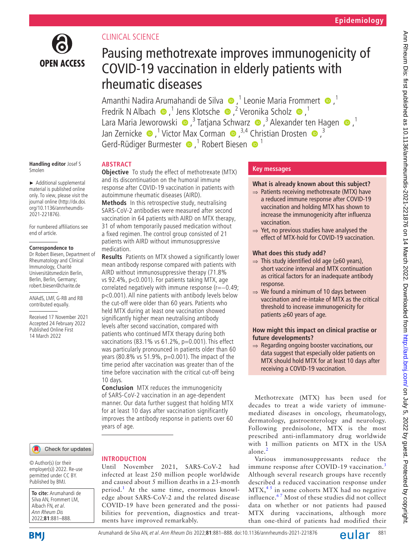

## CLINICAL SCIENCE

# Pausing methotrexate improves immunogenicity of COVID-19 vaccination in elderly patients with rheumatic diseases

AmanthiNadira Arumahandi de Silva  $\bigcirc$ ,<sup>1</sup> Leonie Maria Frommert  $\bigcirc$ ,<sup>1</sup> FredrikN Albach  $\bullet$ ,<sup>1</sup> Jens Klotsche  $\bullet$ ,<sup>2</sup> Veronika Scholz  $\bullet$ ,<sup>1</sup> LaraMaria Jeworowski  $\bigcirc$ ,<sup>3</sup> Tatjana Schwarz  $\bigcirc$ ,<sup>3</sup> Alexander ten Hagen  $\bigcirc$ ,<sup>1</sup> JanZernicke  $\bullet$ ,<sup>1</sup> Victor Max Corman  $\bullet$ ,<sup>3,4</sup> Christian Drosten  $\bullet$ ,<sup>3</sup> Gerd-Rüdiger Burmester  $\bullet$ , <sup>1</sup> Robert Biesen  $\bullet$ <sup>1</sup>

#### **Handling editor** Josef S Smolen

► Additional supplemental material is published online only. To view, please visit the journal online ([http://dx.doi.](http://dx.doi.org/10.1136/annrheumdis-2021-221876) [org/10.1136/annrheumdis-](http://dx.doi.org/10.1136/annrheumdis-2021-221876)[2021-221876\)](http://dx.doi.org/10.1136/annrheumdis-2021-221876).

For numbered affiliations see end of article.

#### **Correspondence to**

Dr Robert Biesen, Department of Rheumatology and Clinical Immunology, Charité Universitätsmedizin Berlin, Berlin, Berlin, Germany; robert.biesen@charite.de

ANAdS, LMF, G-RB and RB contributed equally.

Received 17 November 2021 Accepted 24 February 2022 Published Online First 14 March 2022

## **ABSTRACT**

**Objective** To study the effect of methotrexate (MTX) and its discontinuation on the humoral immune response after COVID-19 vaccination in patients with autoimmune rheumatic diseases (AIRD).

**Methods** In this retrospective study, neutralising SARS-CoV-2 antibodies were measured after second vaccination in 64 patients with AIRD on MTX therapy, 31 of whom temporarily paused medication without a fixed regimen. The control group consisted of 21 patients with AIRD without immunosuppressive medication.

**Results** Patients on MTX showed a significantly lower mean antibody response compared with patients with AIRD without immunosuppressive therapy (71.8% vs 92.4%, p<0.001). For patients taking MTX, age correlated negatively with immune response (r=−0.49; p<0.001). All nine patients with antibody levels below the cut-off were older than 60 years. Patients who held MTX during at least one vaccination showed significantly higher mean neutralising antibody levels after second vaccination, compared with patients who continued MTX therapy during both vaccinations (83.1% vs 61.2%, p=0.001). This effect was particularly pronounced in patients older than 60 years (80.8% vs 51.9%, p=0.001). The impact of the time period after vaccination was greater than of the time before vaccination with the critical cut-off being 10 days.

**Conclusion** MTX reduces the immunogenicity of SARS-CoV-2 vaccination in an age-dependent manner. Our data further suggest that holding MTX for at least 10 days after vaccination significantly improves the antibody response in patients over 60 years of age.

#### Check for updates

© Author(s) (or their employer(s)) 2022. Re-use permitted under CC BY. Published by BMJ.

**To cite:** Arumahandi de Silva AN, Frommert LM, Albach FN et al. Ann Rheum Dis 2022;**81**:881–888.



## **INTRODUCTION**

Until November 2021, SARS-CoV-2 had infected at least 250 million people worldwide and caused about 5 million deaths in a 23-month period.<sup>[1](#page-7-0)</sup> At the same time, enormous knowledge about SARS-CoV-2 and the related disease COVID-19 have been generated and the possibilities for prevention, diagnostics and treatments have improved remarkably.

## **Key messages**

- **What is already known about this subject?**
- ⇒ Patients receiving methotrexate (MTX) have a reduced immune response after COVID-19 vaccination and holding MTX has shown to increase the immunogenicity after influenza vaccination.
- ⇒ Yet, no previous studies have analysed the effect of MTX-hold for COVID-19 vaccination.

## **What does this study add?**

- $\Rightarrow$  This study identified old age ( $\geq 60$  years), short vaccine interval and MTX continuation as critical factors for an inadequate antibody response.
- $\Rightarrow$  We found a minimum of 10 days between vaccination and re-intake of MTX as the critical threshold to increase immunogenicity for patients ≥60 years of age.

## **How might this impact on clinical practise or future developments?**

⇒ Regarding ongoing booster vaccinations, our data suggest that especially older patients on MTX should hold MTX for at least 10 days after receiving a COVID-19 vaccination.

Methotrexate (MTX) has been used for decades to treat a wide variety of immunemediated diseases in oncology, rheumatology, dermatology, gastroenterology and neurology. Following prednisolone, MTX is the most prescribed anti-inflammatory drug worldwide with 1 million patients on MTX in the USA alone.<sup>[2](#page-7-1)</sup>

Various immunosuppressants reduce the immune response after COVID-19 vaccination.<sup>[3](#page-7-2)</sup> Although several research groups have recently described a reduced vaccination response under  $MTX<sub>1</sub><sup>45</sup>$  in some cohorts MTX had no negative influence. $67$  Most of these studies did not collect data on whether or not patients had paused MTX during vaccinations, although more than one-third of patients had modified their

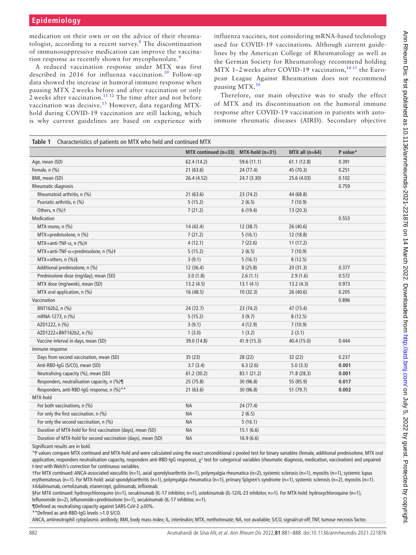medication on their own or on the advice of their rheuma-tologist, according to a recent survey.<sup>[8](#page-7-5)</sup> The discontinuation of immunosuppressive medication can improve the vaccina-tion response as recently shown for mycophenolate.<sup>[9](#page-7-6)</sup>

A reduced vaccination response under MTX was first described in 2016 for influenza vaccination.<sup>10</sup> Follow-up data showed the increase in humoral immune response when pausing MTX 2 weeks before and after vaccination or only  $\frac{1}{2}$  weeks after vaccination.<sup>11 12</sup> The time after and not before vaccination was decisive.<sup>13</sup> However, data regarding MTXhold during COVID-19 vaccination are still lacking, which is why current guidelines are based on experience with

influenza vaccines, not considering mRNA-based technology used for COVID-19 vaccinations. Although current guidelines by the American College of Rheumatology as well as the German Society for Rheumatology recommend holding MTX 1–2 weeks after COVID-19 vaccination,  $1415$  the European League Against Rheumatism does not recommend pausing MTX.<sup>[16](#page-7-11)</sup>

Therefore, our main objective was to study the effect of MTX and its discontinuation on the humoral immune response after COVID-19 vaccination in patients with autoimmune rheumatic diseases (AIRD). Secondary objective

<span id="page-1-0"></span>

| Characteristics of patients on MTX who held and continued MTX<br>Table 1 |                      |                   |                  |          |  |  |  |  |
|--------------------------------------------------------------------------|----------------------|-------------------|------------------|----------|--|--|--|--|
|                                                                          | MTX continued (n=33) | $MTX-hold (n=31)$ | MTX all $(n=64)$ | P value* |  |  |  |  |
| Age, mean (SD)                                                           | 62.4 (14.2)          | 59.6 (11.1)       | 61.1(12.8)       | 0.391    |  |  |  |  |
| Female, n (%)                                                            | 21(63.6)             | 24 (77.4)         | 45 (70.3)        | 0.251    |  |  |  |  |
| BMI, mean (SD)                                                           | 26.4 (4.52)          | 24.7 (3.30)       | 25.6 (4.03)      | 0.102    |  |  |  |  |
| Rheumatic diagnosis                                                      |                      |                   |                  | 0.759    |  |  |  |  |
| Rheumatoid arthritis, n (%)                                              | 21(63.6)             | 23(74.2)          | 44 (68.8)        |          |  |  |  |  |
| Psoriatic arthritis, n (%)                                               | 5(15.2)              | 2(6.5)            | 7(10.9)          |          |  |  |  |  |
| Others, n (%)+                                                           | 7(21.2)              | 6(19.4)           | 13(20.3)         |          |  |  |  |  |
| Medication                                                               |                      |                   |                  | 0.553    |  |  |  |  |
| MTX-mono, n (%)                                                          | 14 (42.4)            | 12 (38.7)         | 26 (40.6)        |          |  |  |  |  |
| MTX+prednisolone, n (%)                                                  | 7(21.2)              | 5(16.1)           | 12 (18.8)        |          |  |  |  |  |
| MTX+anti-TNF- $\alpha$ , n (%)‡                                          | 4(12.1)              | 7(22.6)           | 11(17.2)         |          |  |  |  |  |
| MTX+anti-TNF- $\alpha$ +prednisolone, n (%)‡                             | 5(15.2)              | 2(6.5)            | 7(10.9)          |          |  |  |  |  |
| MTX+others, n (%)§                                                       | 3(9.1)               | 5(16.1)           | 8(12.5)          |          |  |  |  |  |
| Additional prednisolone, n (%)                                           | 12 (36.4)            | 8(25.8)           | 20(31.3)         | 0.377    |  |  |  |  |
| Prednisolone dose (mg/day), mean (SD)                                    | 3.0(1.8)             | 2.6(1.1)          | 2.9(1.6)         | 0.572    |  |  |  |  |
| MTX dose (mg/week), mean (SD)                                            | 13.2(4.5)            | 13.1(4.1)         | 13.2(4.3)        | 0.973    |  |  |  |  |
| MTX oral application, n (%)                                              | 16(48.5)             | 10(32.3)          | 26 (40.6)        | 0.205    |  |  |  |  |
| Vaccination                                                              |                      |                   |                  | 0.896    |  |  |  |  |
| BNT162b2, n (%)                                                          | 24(72.7)             | 23(74.2)          | 47 (73.4)        |          |  |  |  |  |
| mRNA-1273, n (%)                                                         | 5(15.2)              | 3(9.7)            | 8(12.5)          |          |  |  |  |  |
| AZD1222, n (%)                                                           | 3(9.1)               | 4(12.9)           | 7(10.9)          |          |  |  |  |  |
| AZD1222+BNT162b2, n (%)                                                  | 1(3.0)               | 1(3.2)            | 2(3.1)           |          |  |  |  |  |
| Vaccine interval in days, mean (SD)                                      | 39.0 (14.8)          | 41.9 (15.3)       | 40.4 (15.0)      | 0.444    |  |  |  |  |
| Immune response                                                          |                      |                   |                  |          |  |  |  |  |
| Days from second vaccination, mean (SD)                                  | 35(23)               | 28(22)            | 32(22)           | 0.237    |  |  |  |  |
| Anti-RBD-IqG (S/CO), mean (SD)                                           | 3.7(3.4)             | 6.3(2.6)          | 5.0(3.3)         | 0.001    |  |  |  |  |
| Neutralising capacity (%), mean (SD)                                     | 61.2(30.2)           | 83.1 (21.2)       | 71.8 (28.3)      | 0.001    |  |  |  |  |
| Responders, neutralisation capacity, n (%)¶                              | 25(75.8)             | 30 (96.8)         | 55 (85.9)        | 0.017    |  |  |  |  |
| Responders, anti-RBD-IgG response, n (%)**                               | 21(63.6)             | 30 (96.8)         | 51 (79.7)        | 0.002    |  |  |  |  |
| MTX-hold                                                                 |                      |                   |                  |          |  |  |  |  |
| For both vaccinations, n (%)                                             | <b>NA</b>            | 24 (77.4)         |                  |          |  |  |  |  |
| For only the first vaccination, n (%)                                    | <b>NA</b>            | 2(6.5)            |                  |          |  |  |  |  |
| For only the second vaccination, n (%)                                   | <b>NA</b>            | 5(16.1)           |                  |          |  |  |  |  |
| Duration of MTX-hold for first vaccination (days), mean (SD)             | <b>NA</b>            | 15.1(6.6)         |                  |          |  |  |  |  |
| Duration of MTX-hold for second vaccination (days), mean (SD)            | <b>NA</b>            | 16.9(6.6)         |                  |          |  |  |  |  |

Significant results are in bold.

\*P values compare MTX continued and MTX-hold and were calculated using the exact unconditional z-pooled test for binary variables (female, additional prednisolone, MTX oral application, responders neutralisation capacity, responders anti-RBD-IgG response),  $\chi^2$  test for categorical variables (rheumatic diagnosis, medication, vaccination) and unpaired t-test with Welch's correction for continuous variables.

†For MTX continued: ANCA-associated vasculitis (n=1), axial spondyloarthritis (n=1), polymyalgia rheumatica (n=2), systemic sclerosis (n=1), myositis (n=1), systemic lupus erythematosus (n=1). For MTX-hold: axial spondyloarthritis (n=1), polymyalgia rheumatica (n=1), primary Sjögren's syndrome (n=1), systemic sclerosis (n=2), myositis (n=1). ‡Adalimumab, certolizumab, etanercept, golimumab, infliximab.

§For MTX continued: hydroxychloroquine (n=1), secukinumab (IL-17 inhibitor, n=1), ustekinumab (IL-12/IL-23 inhibitor, n=1). For MTX-hold: hydroxychloroquine (n=1), leflunomide (n=2), leflunomide+prednisolone (n=1), secukinumab (IL-17 inhibitor, n=1).

¶Defined as neutralising capacity against SARS-CoV-2 ≥30%.

\*\*Defined as anti-RBD-IgG levels >1.0 S/CO.

ANCA, antineutrophil cytoplasmic antibody; BMI, body mass index; IL, interleukin; MTX, methotrexate; NA, not available; S/CO, signal/cut-off; TNF, tumour necrosis factor.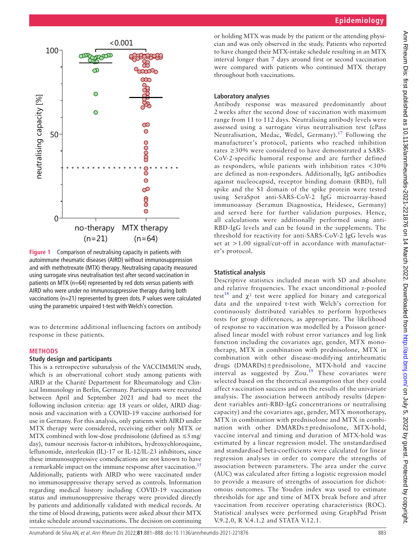

<span id="page-2-0"></span>**Figure 1** Comparison of neutralising capacity in patients with autoimmune rheumatic diseases (AIRD) without immunosuppression and with methotrexate (MTX) therapy. Neutralising capacity measured using surrogate virus neutralisation test after second vaccination in patients on MTX (n=64) represented by red dots versus patients with AIRD who were under no immunosuppressive therapy during both vaccinations (n=21) represented by green dots. P values were calculated using the parametric unpaired t-test with Welch's correction.

was to determine additional influencing factors on antibody response in these patients.

#### **METHODS**

#### **Study design and participants**

This is a retrospective subanalysis of the VACCIMMUN study, which is an observational cohort study among patients with AIRD at the Charité Department for Rheumatology and Clinical Immunology in Berlin, Germany. Participants were recruited between April and September 2021 and had to meet the following inclusion criteria: age 18 years or older, AIRD diagnosis and vaccination with a COVID-19 vaccine authorised for use in Germany. For this analysis, only patients with AIRD under MTX therapy were considered, receiving either only MTX or MTX combined with low-dose prednisolone (defined as  $\leq$ 5 mg/ day), tumour necrosis factor-α inhibitors, hydroxychloroquine, leflunomide, interleukin (IL)-17 or IL-12/IL-23 inhibitors, since these immunosuppressive comedications are not known to have a remarkable impact on the immune response after vaccination.<sup>[15](#page-7-12)</sup> Additionally, patients with AIRD who were vaccinated under no immunosuppressive therapy served as controls. Information regarding medical history including COVID-19 vaccination status and immunosuppressive therapy were provided directly by patients and additionally validated with medical records. At the time of blood drawing, patients were asked about their MTX intake schedule around vaccinations. The decision on continuing

or holding MTX was made by the patient or the attending physician and was only observed in the study. Patients who reported to have changed their MTX-intake schedule resulting in an MTX interval longer than 7 days around first or second vaccination were compared with patients who continued MTX therapy throughout both vaccinations.

#### **Laboratory analyses**

Antibody response was measured predominantly about 2 weeks after the second dose of vaccination with maximum range from 11 to 112 days. Neutralising antibody levels were assessed using a surrogate virus neutralisation test (cPass Neutralisation, Medac, Wedel, Germany).<sup>17</sup> Following the manufacturer's protocol, patients who reached inhibition rates ≥30% were considered to have demonstrated a SARS-CoV-2-specific humoral response and are further defined as responders, while patients with inhibition rates <30% are defined as non-responders. Additionally, IgG antibodies against nucleocapsid, receptor binding domain (RBD), full spike and the S1 domain of the spike protein were tested using SeraSpot anti-SARS-CoV-2 IgG microarray-based immunoassay (Seramun Diagnostica, Heidesee, Germany) and served here for further validation purposes. Hence, all calculations were additionally performed using anti-RBD-IgG levels and can be found in the supplements. The threshold for reactivity for anti-SARS-CoV-2 IgG levels was set at >1.00 signal/cut-off in accordance with manufacturer's protocol.

#### **Statistical analysis**

Descriptive statistics included mean with SD and absolute and relative frequencies. The exact unconditional z-pooled test<sup>[18](#page-7-14)</sup> and  $\chi^2$  test were applied for binary and categorical data and the unpaired t-test with Welch's correction for continuously distributed variables to perform hypotheses tests for group differences, as appropriate. The likelihood of response to vaccination was modelled by a Poisson generalised linear model with robust error variances and log link function including the covariates age, gender, MTX monotherapy, MTX in combination with prednisolone, MTX in combination with other disease-modifying antirheumatic drugs (DMARDs)±prednisolone, MTX-hold and vaccine interval as suggested by  $Z_{\text{ou.}}^{19}$  These covariates were selected based on the theoretical assumption that they could affect vaccination success and on the results of the univariate analysis. The association between antibody results (dependent variables anti-RBD-IgG concentrations or neutralising capacity) and the covariates age, gender, MTX monotherapy, MTX in combination with prednisolone and MTX in combination with other DMARDs±prednisolone, MTX-hold, vaccine interval and timing and duration of MTX-hold was estimated by a linear regression model. The unstandardised and standardised beta-coefficients were calculated for linear regression analyses in order to compare the strengths of association between parameters. The area under the curve (AUC) was calculated after fitting a logistic regression model to provide a measure of strengths of association for dichotomous outcomes. The Youden index was used to estimate thresholds for age and time of MTX break before and after vaccination from receiver operating characteristics (ROC). Statistical analyses were performed using GraphPad Prism V.9.2.0, R V.4.1.2 and STATA V.12.1.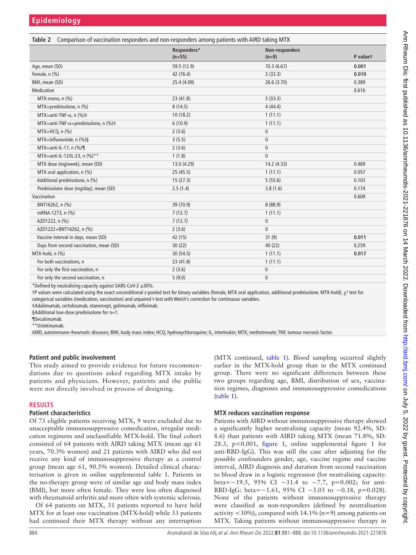<span id="page-3-0"></span>

| Table 2 Comparison of vaccination responders and non-responders among patients with AIRD taking MTX |                           |          |  |  |  |  |  |
|-----------------------------------------------------------------------------------------------------|---------------------------|----------|--|--|--|--|--|
| Responders*<br>$(n=55)$                                                                             | Non-responders<br>$(n=9)$ | P valuet |  |  |  |  |  |
| 59.5 (12.9)                                                                                         | 70.3 (6.67)               | 0.001    |  |  |  |  |  |
| 42 (76.4)                                                                                           | 3(33.3)                   | 0.010    |  |  |  |  |  |
| 25.4 (4.09)                                                                                         | 26.6 (3.70)               | 0.389    |  |  |  |  |  |
|                                                                                                     |                           | 0.616    |  |  |  |  |  |
| 23 (41.8)                                                                                           | 3(33.3)                   |          |  |  |  |  |  |
| 8(14.5)                                                                                             | 4(44.4)                   |          |  |  |  |  |  |
| 10(18.2)                                                                                            | 1(11.1)                   |          |  |  |  |  |  |
| 6(10.9)                                                                                             | 1(11.1)                   |          |  |  |  |  |  |
| 2(3.6)                                                                                              | $\mathbf{0}$              |          |  |  |  |  |  |
| 3(5.5)                                                                                              | $\mathbf{0}$              |          |  |  |  |  |  |
| 2(3.6)                                                                                              | $\mathbf{0}$              |          |  |  |  |  |  |
| 1(1.8)                                                                                              | $\mathbf{0}$              |          |  |  |  |  |  |
| 13.0 (4.29)                                                                                         | 14.2 (4.33)               | 0.469    |  |  |  |  |  |
| 25(45.5)                                                                                            | 1(11.1)                   | 0.057    |  |  |  |  |  |
| 15(27.3)                                                                                            | 5(55.6)                   | 0.103    |  |  |  |  |  |
| 2.5(1.4)                                                                                            | 3.8(1.6)                  | 0.174    |  |  |  |  |  |
|                                                                                                     |                           | 0.609    |  |  |  |  |  |
| 39 (70.9)                                                                                           | 8(88.9)                   |          |  |  |  |  |  |
| 7(12.7)                                                                                             | 1(11.1)                   |          |  |  |  |  |  |
| 7(12.7)                                                                                             | $\mathbf 0$               |          |  |  |  |  |  |
| 2(3.6)                                                                                              | $\mathbf{0}$              |          |  |  |  |  |  |
| 42 (15)                                                                                             | 31(9)                     | 0.011    |  |  |  |  |  |
| 30(22)                                                                                              | 40 (22)                   | 0.259    |  |  |  |  |  |
| 30(54.5)                                                                                            | 1(11.1)                   | 0.017    |  |  |  |  |  |
| 23 (41.8)                                                                                           | 1(11.1)                   |          |  |  |  |  |  |
| 2(3.6)                                                                                              | $\mathbf{0}$              |          |  |  |  |  |  |
| 5(9.0)                                                                                              | $\mathbf{0}$              |          |  |  |  |  |  |
|                                                                                                     |                           |          |  |  |  |  |  |

\*Defined by neutralising capacity against SARS-CoV-2 ≥30%.

†P values were calculated using the exact unconditional z-pooled test for binary variables (female, MTX oral application, additional prednisolone, MTX-hold),  $χ²$  test for categorical variables (medication, vaccination) and unpaired t-test with Welch's correction for continuous variables.

‡Adalimumab, certolizumab, etanercept, golimumab, infliximab.

§Additional low-dose prednisolone for n=1.

¶Secukinumab.

\*\*Ustekinumab.

AIRD, autoimmune rheumatic diseases; BMI, body mass index; HCQ, hydroxychloroquine; IL, interleukin; MTX, methotrexate; TNF, tumour necrosis factor.

#### **Patient and public involvement**

This study aimed to provide evidence for future recommendations due to questions asked regarding MTX intake by patients and physicians. However, patients and the public were not directly involved in process of designing.

#### **RESULTS**

#### **Patient characteristics**

Of 73 eligible patients receiving MTX, 9 were excluded due to unacceptable immunosuppressive comedication, irregular medication regimens and unclassifiable MTX-hold. The final cohort consisted of 64 patients with AIRD taking MTX (mean age 61 years, 70.3% women) and 21 patients with AIRD who did not receive any kind of immunosuppressive therapy as a control group (mean age 61, 90.5% women). Detailed clinical characterisation is given in [online supplemental table 1](https://dx.doi.org/10.1136/annrheumdis-2021-221876). Patients in the no-therapy group were of similar age and body mass index (BMI), but more often female. They were less often diagnosed with rheumatoid arthritis and more often with systemic sclerosis.

Of 64 patients on MTX, 31 patients reported to have held MTX for at least one vaccination (MTX-hold) while 33 patients had continued their MTX therapy without any interruption

(MTX continued, [table](#page-1-0) 1). Blood sampling occurred slightly earlier in the MTX-hold group than in the MTX continued group. There were no significant differences between these two groups regarding age, BMI, distribution of sex, vaccination regimes, diagnoses and immunosuppressive comedications ([table](#page-1-0) 1).

#### **MTX reduces vaccination response**

Patients with AIRD without immunosuppressive therapy showed a significantly higher neutralising capacity (mean 92.4%, SD: 8.6) than patients with AIRD taking MTX (mean 71.8%, SD: 28.3, p<0.001, [figure](#page-2-0) 1, [online supplemental figure 1](https://dx.doi.org/10.1136/annrheumdis-2021-221876) for anti-RBD-IgG). This was still the case after adjusting for the possible confounders gender, age, vaccine regime and vaccine interval, AIRD diagnosis and duration from second vaccination to blood draw in a logistic regression (for neutralising capacity: beta=−19.5, 95% CI −31.4 to −7.7, p=0.002; for anti-RBD-IgG: beta=−1.61, 95% CI -3.03 to -0.18, p=0.028). None of the patients without immunosuppressive therapy were classified as non-responders (defined by neutralisation activity <30%), compared with 14.1% (n=9) among patients on MTX. Taking patients without immunosuppressive therapy in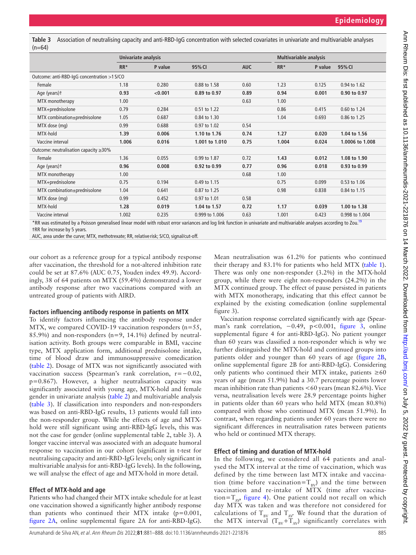<span id="page-4-0"></span>**Table 3** Association of neutralising capacity and anti-RBD-IgG concentration with selected covariates in univariate and multivariable analyses  $(n=64)$ 

|                                                                                                                                                                                | Univariate analysis |         |                |            | <b>Multivariable analysis</b> |         |                 |  |  |
|--------------------------------------------------------------------------------------------------------------------------------------------------------------------------------|---------------------|---------|----------------|------------|-------------------------------|---------|-----------------|--|--|
|                                                                                                                                                                                | $RR*$               | P value | 95% CI         | <b>AUC</b> | $RR*$                         | P value | 95% CI          |  |  |
| Outcome: anti-RBD-IgG concentration >1 S/CO                                                                                                                                    |                     |         |                |            |                               |         |                 |  |  |
| Female                                                                                                                                                                         | 1.18                | 0.280   | 0.88 to 1.58   | 0.60       | 1.23                          | 0.125   | 0.94 to 1.62    |  |  |
| Age (years)+                                                                                                                                                                   | 0.93                | < 0.001 | 0.89 to 0.97   | 0.89       | 0.94                          | 0.001   | 0.90 to 0.97    |  |  |
| MTX monotherapy                                                                                                                                                                | 1.00                |         |                | 0.63       | 1.00                          |         |                 |  |  |
| MTX+prednisolone                                                                                                                                                               | 0.79                | 0.284   | 0.51 to 1.22   |            | 0.86                          | 0.415   | 0.60 to 1.24    |  |  |
| MTX combination±prednisolone                                                                                                                                                   | 1.05                | 0.687   | 0.84 to 1.30   |            | 1.04                          | 0.693   | 0.86 to 1.25    |  |  |
| MTX dose (mg)                                                                                                                                                                  | 0.99                | 0.688   | 0.97 to 1.02   | 0.54       |                               |         |                 |  |  |
| MTX-hold                                                                                                                                                                       | 1.39                | 0.006   | 1.10 to 1.76   | 0.74       | 1.27                          | 0.020   | 1.04 to 1.56    |  |  |
| Vaccine interval                                                                                                                                                               | 1.006               | 0.016   | 1.001 to 1.010 | 0.75       | 1.004                         | 0.024   | 1.0006 to 1.008 |  |  |
| Outcome: neutralisation capacity $\geq$ 30%                                                                                                                                    |                     |         |                |            |                               |         |                 |  |  |
| Female                                                                                                                                                                         | 1.36                | 0.055   | 0.99 to 1.87   | 0.72       | 1.43                          | 0.012   | 1.08 to 1.90    |  |  |
| Age (years)t                                                                                                                                                                   | 0.96                | 0.008   | 0.92 to 0.99   | 0.77       | 0.96                          | 0.018   | 0.93 to 0.99    |  |  |
| MTX monotherapy                                                                                                                                                                | 1.00                |         |                | 0.68       | 1.00                          |         |                 |  |  |
| MTX+prednisolone                                                                                                                                                               | 0.75                | 0.194   | 0.49 to 1.15   |            | 0.75                          | 0.099   | 0.53 to 1.06    |  |  |
| MTX combination±prednisolone                                                                                                                                                   | 1.04                | 0.641   | 0.87 to 1.25   |            | 0.98                          | 0.838   | 0.84 to 1.15    |  |  |
| MTX dose (mg)                                                                                                                                                                  | 0.99                | 0.452   | 0.97 to 1.01   | 0.58       |                               |         |                 |  |  |
| MTX-hold                                                                                                                                                                       | 1.28                | 0.019   | 1.04 to 1.57   | 0.72       | 1.17                          | 0.039   | 1.00 to 1.38    |  |  |
| Vaccine interval                                                                                                                                                               | 1.002               | 0.235   | 0.999 to 1.006 | 0.63       | 1.001                         | 0.423   | 0.998 to 1.004  |  |  |
| *DD was estimated by a Deisson concretised linear model with rebust expressionses and leg light function in university and multivariable analyses assessing to $7\text{e}$ ull |                     |         |                |            |                               |         |                 |  |  |

RR was estimated by a Poisson generalised linear model with robust error variances and log link function in univariate and multivariable analyses according to Zou. †RR for increase by 5 years.

AUC, area under the curve; MTX, methotrexate; RR, relative risk; S/CO, signal/cut-off.

our cohort as a reference group for a typical antibody response after vaccination, the threshold for a not-altered inhibition rate could be set at 87.6% (AUC 0.75, Youden index 49.9). Accordingly, 38 of 64 patients on MTX (59.4%) demonstrated a lower antibody response after two vaccinations compared with an untreated group of patients with AIRD.

#### **Factors influencing antibody response in patients on MTX**

To identify factors influencing the antibody response under MTX, we compared COVID-19 vaccination responders  $(n=55,$ 85.9%) and non-responders ( $n=9$ , 14.1%) defined by neutralisation activity. Both groups were comparable in BMI, vaccine type, MTX application form, additional prednisolone intake, time of blood draw and immunosuppressive comedication ([table](#page-3-0) 2). Dosage of MTX was not significantly associated with vaccination success (Spearman's rank correlation, r=−0.02, p=0.867). However, a higher neutralisation capacity was significantly associated with young age, MTX-hold and female gender in univariate analysis [\(table](#page-3-0) 2) and multivariable analysis ([table](#page-4-0) 3). If classification into responders and non-responders was based on anti-RBD-IgG results, 13 patients would fall into the non-responder group. While the effects of age and MTXhold were still significant using anti-RBD-IgG levels, this was not the case for gender ([online supplemental table 2, table 3\)](https://dx.doi.org/10.1136/annrheumdis-2021-221876). A longer vaccine interval was associated with an adequate humoral response to vaccination in our cohort (significant in t-test for neutralising capacity and anti-RBD-IgG levels; only significant in multivariable analysis for anti-RBD-IgG levels). In the following, we will analyse the effect of age and MTX-hold in more detail.

#### **Effect of MTX-hold and age**

Patients who had changed their MTX intake schedule for at least one vaccination showed a significantly higher antibody response than patients who continued their MTX intake (p=0.001, [figure](#page-5-0) 2A, [online supplemental figure 2A](https://dx.doi.org/10.1136/annrheumdis-2021-221876) for anti-RBD-IgG).

Mean neutralisation was 61.2% for patients who continued their therapy and 83.1% for patients who held MTX ([table](#page-1-0) 1). There was only one non-responder (3.2%) in the MTX-hold group, while there were eight non-responders (24.2%) in the MTX continued group. The effect of pause persisted in patients with MTX monotherapy, indicating that this effect cannot be explained by the existing comedication [\(online supplemental](https://dx.doi.org/10.1136/annrheumdis-2021-221876) [figure 3\)](https://dx.doi.org/10.1136/annrheumdis-2021-221876).

Vaccination response correlated significantly with age (Spearman's rank correlation, −0.49, p<0.001, [figure](#page-5-1) 3, [online](https://dx.doi.org/10.1136/annrheumdis-2021-221876) [supplemental figure 4](https://dx.doi.org/10.1136/annrheumdis-2021-221876) for anti-RBD-IgG). No patient younger than 60 years was classified a non-responder which is why we further distinguished the MTX-hold and continued groups into patients older and younger than 60 years of age [\(figure](#page-5-0) 2B, [online supplemental figure 2B](https://dx.doi.org/10.1136/annrheumdis-2021-221876) for anti-RBD-IgG). Considering only patients who continued their MTX intake, patients  $\geq 60$ years of age (mean 51.9%) had a 30.7 percentage points lower mean inhibition rate than patients <60 years (mean 82.6%). Vice versa, neutralisation levels were 28.9 percentage points higher in patients older than 60 years who held MTX (mean 80.8%) compared with those who continued MTX (mean 51.9%). In contrast, when regarding patients under 60 years there were no significant differences in neutralisation rates between patients who held or continued MTX therapy.

#### **Effect of timing and duration of MTX-hold**

In the following, we considered all 64 patients and analysed the MTX interval at the time of vaccination, which was defined by the time between last MTX intake and vaccination (time before vaccination= $T_{\text{av}}$ ) and the time between vaccination and re-intake of MTX (time after vaccination= $T_{AV}$  [figure](#page-5-2) 4). One patient could not recall on which day MTX was taken and was therefore not considered for calculations of  $T_{BV}$  and  $T_{AV}$  We found that the duration of the MTX interval  $(T_{BV}+T_{AV})$  significantly correlates with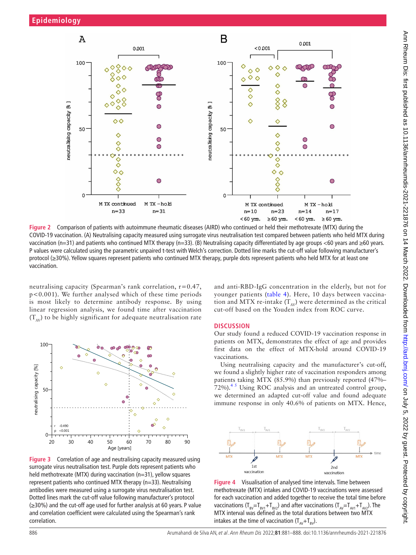

<span id="page-5-0"></span>**Figure 2** Comparison of patients with autoimmune rheumatic diseases (AIRD) who continued or held their methotrexate (MTX) during the COVID-19 vaccination. (A) Neutralising capacity measured using surrogate virus neutralisation test compared between patients who held MTX during vaccination (n=31) and patients who continued MTX therapy (n=33). (B) Neutralising capacity differentiated by age groups <60 years and ≥60 years. P values were calculated using the parametric unpaired t-test with Welch's correction. Dotted line marks the cut-off value following manufacturer's protocol (≥30%). Yellow squares represent patients who continued MTX therapy, purple dots represent patients who held MTX for at least one vaccination.

neutralising capacity (Spearman's rank correlation, r=0.47, p<0.001). We further analysed which of these time periods is most likely to determine antibody response. By using linear regression analysis, we found time after vaccination  $(T_{AV})$  to be highly significant for adequate neutralisation rate



<span id="page-5-1"></span>**Figure 3** Correlation of age and neutralising capacity measured using surrogate virus neutralisation test. Purple dots represent patients who held methotrexate (MTX) during vaccination (n=31), yellow squares represent patients who continued MTX therapy (n=33). Neutralising antibodies were measured using a surrogate virus neutralisation test. Dotted lines mark the cut-off value following manufacturer's protocol (≥30%) and the cut-off age used for further analysis at 60 years. P value and correlation coefficient were calculated using the Spearman's rank correlation.

and anti-RBD-IgG concentration in the elderly, but not for younger patients [\(table](#page-6-0) 4). Here, 10 days between vaccination and MTX re-intake  $(T_{AV})$  were determined as the critical cut-off based on the Youden index from ROC curve.

#### **DISCUSSION**

Our study found a reduced COVID-19 vaccination response in patients on MTX, demonstrates the effect of age and provides first data on the effect of MTX-hold around COVID-19 vaccinations.

Using neutralising capacity and the manufacturer's cut-off, we found a slightly higher rate of vaccination responders among patients taking MTX (85.9%) than previously reported (47%–  $72\%$ ).<sup>45</sup> Using ROC analysis and an untreated control group, we determined an adapted cut-off value and found adequate immune response in only 40.6% of patients on MTX. Hence,



<span id="page-5-2"></span>**Figure 4** Visualisation of analysed time intervals. Time between methotrexate (MTX) intakes and COVID-19 vaccinations were assessed for each vaccination and added together to receive the total time before vaccinations ( $T_{BV} = T_{BV1} + T_{BV2}$ ) and after vaccinations ( $T_{AV} = T_{AV1} + T_{AV2}$ ). The MTX interval was defined as the total durations between two MTX intakes at the time of vaccination  $(T_{av}+T_{av})$ .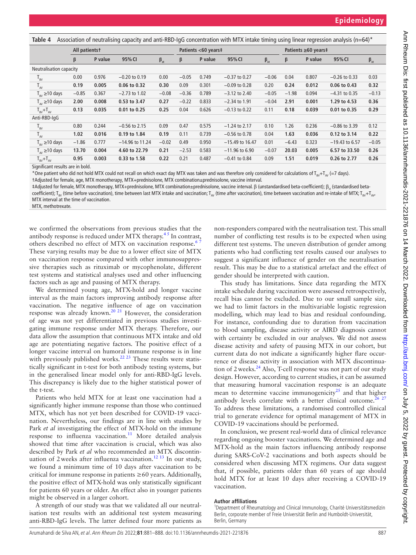<span id="page-6-0"></span>**Table 4** Association of neutralising capacity and anti-RBD-IgG concentration with MTX intake timing using linear regression analysis (n=64)\*

|                                 | All patientst |         |                   |              | Patients <60 years‡ |         |                   | Patients ≥60 years‡ |         |         |                  |              |
|---------------------------------|---------------|---------|-------------------|--------------|---------------------|---------|-------------------|---------------------|---------|---------|------------------|--------------|
|                                 | β             | P value | 95% CI            | $\beta_{st}$ | β                   | P value | 95% CI            | $\beta_{st}$        | $\beta$ | P value | 95% CI           | $\beta_{st}$ |
| Neutralisation capacity         |               |         |                   |              |                     |         |                   |                     |         |         |                  |              |
| $T_{BV}$                        | 0.00          | 0.976   | $-0.20$ to 0.19   | 0.00         | $-0.05$             | 0.749   | $-0.37$ to 0.27   | $-0.06$             | 0.04    | 0.807   | $-0.26$ to 0.33  | 0.03         |
| $T_{AV}$                        | 0.19          | 0.005   | 0.06 to 0.32      | 0.30         | 0.09                | 0.301   | $-0.09$ to 0.28   | 0.20                | 0.24    | 0.012   | 0.06 to 0.43     | 0.32         |
| $T_{\rm RV}$ $\geq$ 10 days     | $-0.85$       | 0.367   | $-2.73$ to 1.02   | $-0.08$      | $-0.36$             | 0.789   | $-3.12$ to 2.40   | $-0.05$             | $-1.98$ | 0.094   | $-4.31$ to 0.35  | $-0.13$      |
| $T_{av} \ge 10$ days            | 2.00          | 0.008   | 0.53 to 3.47      | 0.27         | $-0.22$             | 0.833   | $-2.34$ to 1.91   | $-0.04$             | 2.91    | 0.001   | 1.29 to 4.53     | 0.36         |
| $T_{\text{RV}} + T_{\text{AV}}$ | 0.13          | 0.035   | 0.01 to 0.25      | 0.25         | 0.04                | 0.626   | $-0.13$ to 0.22   | 0.11                | 0.18    | 0.039   | 0.01 to 0.35     | 0.29         |
| Anti-RBD-IgG                    |               |         |                   |              |                     |         |                   |                     |         |         |                  |              |
| $T_{BV}$                        | 0.80          | 0.244   | $-0.56$ to 2.15   | 0.09         | 0.47                | 0.575   | $-1.24$ to 2.17   | 0.10                | 1.26    | 0.236   | $-0.86$ to 3.39  | 0.12         |
| $T_{AV}$                        | 1.02          | 0.016   | 0.19 to 1.84      | 0.19         | 0.11                | 0.739   | $-0.56$ to 0.78   | 0.04                | 1.63    | 0.036   | 0.12 to 3.14     | 0.22         |
| $T_{\rm RV}$ $\geq$ 10 days     | $-1.86$       | 0.777   | $-14.96$ to 11.24 | $-0.02$      | 0.49                | 0.950   | $-15.49$ to 16.47 | 0.01                | $-6.43$ | 0.323   | $-19.43$ to 6.57 | $-0.05$      |
| $T_{av} \ge 10$ days            | 13.70         | 0.004   | 4.60 to 22.79     | 0.21         | $-2.53$             | 0.583   | $-11.96$ to 6.90  | $-0.07$             | 20.03   | 0.005   | 6.57 to 33.50    | 0.26         |
| $T_{BV}+T_{AV}$                 | 0.95          | 0.003   | 0.33 to 1.58      | 0.22         | 0.21                | 0.487   | $-0.41$ to 0.84   | 0.09                | 1.51    | 0.019   | 0.26 to 2.77     | 0.26         |

Significant results are in bold.

\*One patient who did not hold MTX could not recall on which exact day MTX was taken and was therefore only considered for calculations of  $T_{\text{av}}+T_{\text{av}}$  (=7 days).

†Adjusted for female, age, MTX monotherapy, MTX+prednisolone, MTX combination±prednisolone, vaccine interval.

‡Adjusted for female, MTX monotherapy, MTX+prednisolone, MTX combination±prednisolone, vaccine interval. β (unstandardised beta-coefficient); β. (standardised beta-

coefficient); T<sub>BV</sub> (time before vaccination), time between last MTX intake and vaccination; T<sub>AV</sub> (time after vaccination), time between vaccination and re-intake of MTX; T<sub>BV</sub>+T<sub>AV</sub> MTX interval at the time of vaccination.

MTX, methotrexate.

we confirmed the observations from previous studies that the antibody response is reduced under MTX therapy.<sup>45</sup> In contrast, others described no effect of MTX on vaccination response.<sup>6</sup> These varying results may be due to a lower effect size of MTX on vaccination response compared with other immunosuppressive therapies such as rituximab or mycophenolate, different test systems and statistical analyses used and other influencing factors such as age and pausing of MTX therapy.

We determined young age, MTX-hold and longer vaccine interval as the main factors improving antibody response after vaccination. The negative influence of age on vaccination response was already known.<sup>20 21</sup> However, the consideration of age was not yet differentiated in previous studies investigating immune response under MTX therapy. Therefore, our data allow the assumption that continuous MTX intake and old age are potentiating negative factors. The positive effect of a longer vaccine interval on humoral immune response is in line with previously published works. $22 23$  These results were statistically significant in t-test for both antibody testing systems, but in the generalised linear model only for anti-RBD-IgG levels. This discrepancy is likely due to the higher statistical power of the t-test.

Patients who held MTX for at least one vaccination had a significantly higher immune response than those who continued MTX, which has not yet been described for COVID-19 vaccination. Nevertheless, our findings are in line with studies by Park *et al* investigating the effect of MTX-hold on the immune response to influenza vaccination. $11$  More detailed analysis showed that time after vaccination is crucial, which was also described by Park *et al* who recommended an MTX discontin-uation of 2 weeks after influenza vaccination.<sup>[12 13](#page-7-18)</sup> In our study, we found a minimum time of 10 days after vaccination to be critical for immune response in patients ≥60 years. Additionally, the positive effect of MTX-hold was only statistically significant for patients 60 years or older. An effect also in younger patients might be observed in a larger cohort.

A strength of our study was that we validated all our neutralisation test results with an additional test system measuring anti-RBD-IgG levels. The latter defined four more patients as

non-responders compared with the neutralisation test. This small number of conflicting test results is to be expected when using different test systems. The uneven distribution of gender among patients who had conflicting test results caused our analyses to suggest a significant influence of gender on the neutralisation result. This may be due to a statistical artefact and the effect of gender should be interpreted with caution.

This study has limitations. Since data regarding the MTX intake schedule during vaccination were assessed retrospectively, recall bias cannot be excluded. Due to our small sample size, we had to limit factors in the multivariable logistic regression modelling, which may lead to bias and residual confounding. For instance, confounding due to duration from vaccination to blood sampling, disease activity or AIRD diagnosis cannot with certainty be excluded in our analyses. We did not assess disease activity and safety of pausing MTX in our cohort, but current data do not indicate a significantly higher flare occurrence or disease activity in association with MTX discontinua-tion of 2 weeks.<sup>[24](#page-7-19)</sup> Also, T-cell response was not part of our study design. However, according to current studies, it can be assumed that measuring humoral vaccination response is an adequate mean to determine vaccine immunogenicity<sup>[25](#page-7-20)</sup> and that higher antibody levels correlate with a better clinical outcome.<sup>[26 27](#page-7-21)</sup> To address these limitations, a randomised controlled clinical trial to generate evidence for optimal management of MTX in COVID-19 vaccinations should be performed.

In conclusion, we present real-world data of clinical relevance regarding ongoing booster vaccinations. We determined age and MTX-hold as the main factors influencing antibody response during SARS-CoV-2 vaccinations and both aspects should be considered when discussing MTX regimens. Our data suggest that, if possible, patients older than 60 years of age should hold MTX for at least 10 days after receiving a COVID-19 vaccination.

#### **Author affiliations**

<sup>1</sup>Department of Rheumatology and Clinical Immunology, Charité Universitätsmedizin Berlin, corporate member of Freie Universität Berlin and Humboldt-Universität, Berlin, Germany